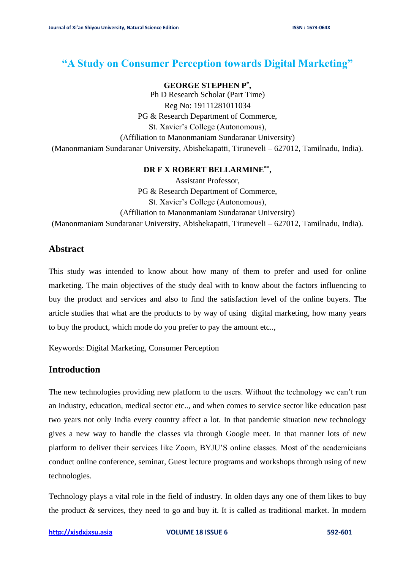# **"A Study on Consumer Perception towards Digital Marketing"**

### **GEORGE STEPHEN P\* ,**

Ph D Research Scholar (Part Time) Reg No: 19111281011034 PG & Research Department of Commerce, St. Xavier's College (Autonomous), (Affiliation to Manonmaniam Sundaranar University) (Manonmaniam Sundaranar University, Abishekapatti, Tiruneveli – 627012, Tamilnadu, India).

## **DR F X ROBERT BELLARMINE\*\* ,**

Assistant Professor, PG & Research Department of Commerce, St. Xavier's College (Autonomous), (Affiliation to Manonmaniam Sundaranar University) (Manonmaniam Sundaranar University, Abishekapatti, Tiruneveli – 627012, Tamilnadu, India).

## **Abstract**

This study was intended to know about how many of them to prefer and used for online marketing. The main objectives of the study deal with to know about the factors influencing to buy the product and services and also to find the satisfaction level of the online buyers. The article studies that what are the products to by way of using digital marketing, how many years to buy the product, which mode do you prefer to pay the amount etc..,

Keywords: Digital Marketing, Consumer Perception

## **Introduction**

The new technologies providing new platform to the users. Without the technology we can't run an industry, education, medical sector etc.., and when comes to service sector like education past two years not only India every country affect a lot. In that pandemic situation new technology gives a new way to handle the classes via through Google meet. In that manner lots of new platform to deliver their services like Zoom, BYJU'S online classes. Most of the academicians conduct online conference, seminar, Guest lecture programs and workshops through using of new technologies.

Technology plays a vital role in the field of industry. In olden days any one of them likes to buy the product & services, they need to go and buy it. It is called as traditional market. In modern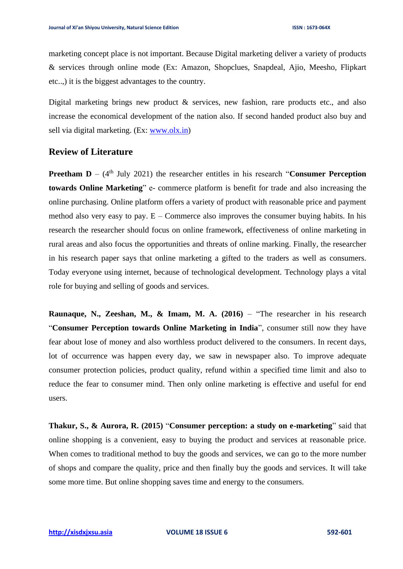marketing concept place is not important. Because Digital marketing deliver a variety of products & services through online mode (Ex: Amazon, Shopclues, Snapdeal, Ajio, Meesho, Flipkart etc..,) it is the biggest advantages to the country.

Digital marketing brings new product  $\&$  services, new fashion, rare products etc., and also increase the economical development of the nation also. If second handed product also buy and sell via digital marketing. (Ex: [www.olx.in\)](http://www.olx.in/)

## **Review of Literature**

**Preetham D** –  $(4<sup>th</sup>$  July 2021) the researcher entitles in his research "**Consumer Perception towards Online Marketing**" e- commerce platform is benefit for trade and also increasing the online purchasing. Online platform offers a variety of product with reasonable price and payment method also very easy to pay.  $E -$ Commerce also improves the consumer buying habits. In his research the researcher should focus on online framework, effectiveness of online marketing in rural areas and also focus the opportunities and threats of online marking. Finally, the researcher in his research paper says that online marketing a gifted to the traders as well as consumers. Today everyone using internet, because of technological development. Technology plays a vital role for buying and selling of goods and services.

**Raunaque, N., Zeeshan, M., & Imam, M. A. (2016)** – "The researcher in his research "**Consumer Perception towards Online Marketing in India**", consumer still now they have fear about lose of money and also worthless product delivered to the consumers. In recent days, lot of occurrence was happen every day, we saw in newspaper also. To improve adequate consumer protection policies, product quality, refund within a specified time limit and also to reduce the fear to consumer mind. Then only online marketing is effective and useful for end users.

**Thakur, S., & Aurora, R. (2015)** "**Consumer perception: a study on e-marketing**" said that online shopping is a convenient, easy to buying the product and services at reasonable price. When comes to traditional method to buy the goods and services, we can go to the more number of shops and compare the quality, price and then finally buy the goods and services. It will take some more time. But online shopping saves time and energy to the consumers.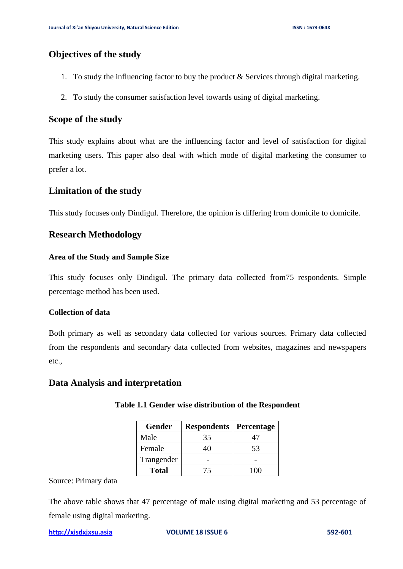## **Objectives of the study**

- 1. To study the influencing factor to buy the product & Services through digital marketing.
- 2. To study the consumer satisfaction level towards using of digital marketing.

## **Scope of the study**

This study explains about what are the influencing factor and level of satisfaction for digital marketing users. This paper also deal with which mode of digital marketing the consumer to prefer a lot.

## **Limitation of the study**

This study focuses only Dindigul. Therefore, the opinion is differing from domicile to domicile.

## **Research Methodology**

#### **Area of the Study and Sample Size**

This study focuses only Dindigul. The primary data collected from75 respondents. Simple percentage method has been used.

#### **Collection of data**

Both primary as well as secondary data collected for various sources. Primary data collected from the respondents and secondary data collected from websites, magazines and newspapers etc.,

### **Data Analysis and interpretation**

| <b>Gender</b> | <b>Respondents</b> | <b>Percentage</b> |
|---------------|--------------------|-------------------|
| Male          | 35                 |                   |
| Female        |                    | 53                |
| Trangender    |                    |                   |
| <b>Total</b>  | 75                 | 100               |

#### **Table 1.1 Gender wise distribution of the Respondent**

#### Source: Primary data

The above table shows that 47 percentage of male using digital marketing and 53 percentage of female using digital marketing.

```
http://xisdxjxsu.asia VOLUME 18 ISSUE 6 592-601
```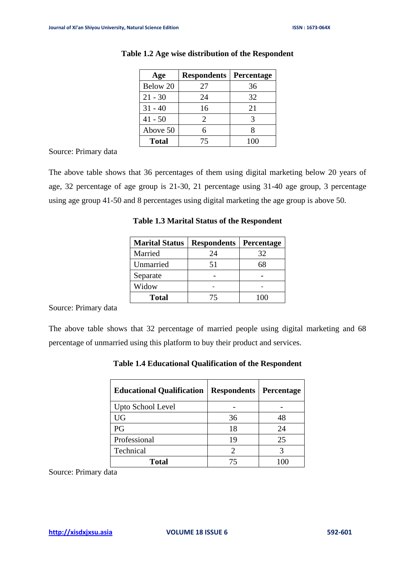| Age          | <b>Respondents</b> | Percentage |
|--------------|--------------------|------------|
| Below 20     | 27                 | 36         |
| $21 - 30$    | 24                 | 32         |
| $31 - 40$    | 16                 | 21         |
| $41 - 50$    | 2                  |            |
| Above 50     | 6                  |            |
| <b>Total</b> | 75                 | 100        |

#### **Table 1.2 Age wise distribution of the Respondent**

Source: Primary data

The above table shows that 36 percentages of them using digital marketing below 20 years of age, 32 percentage of age group is 21-30, 21 percentage using 31-40 age group, 3 percentage using age group 41-50 and 8 percentages using digital marketing the age group is above 50.

| <b>Marital Status</b> | <b>Respondents</b> | Percentage |
|-----------------------|--------------------|------------|
| Married               | 24                 | 32         |
| Unmarried             | 51                 | 68         |
| Separate              |                    |            |
| Widow                 |                    |            |
| <b>Total</b>          | 75                 | 1 ( ) ( )  |

**Table 1.3 Marital Status of the Respondent**

Source: Primary data

The above table shows that 32 percentage of married people using digital marketing and 68 percentage of unmarried using this platform to buy their product and services.

| <b>Table 1.4 Educational Qualification of the Respondent</b> |  |
|--------------------------------------------------------------|--|
|                                                              |  |

| <b>Educational Qualification</b> | <b>Respondents   Percentage</b> |    |
|----------------------------------|---------------------------------|----|
| Upto School Level                |                                 |    |
| <b>UG</b>                        | 36                              | 48 |
| PG                               | 18                              | 24 |
| Professional                     | 19                              | 25 |
| Technical                        |                                 |    |
| <b>Total</b>                     |                                 |    |

Source: Primary data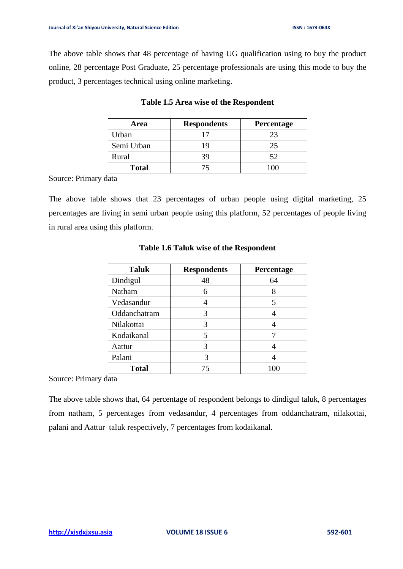The above table shows that 48 percentage of having UG qualification using to buy the product online, 28 percentage Post Graduate, 25 percentage professionals are using this mode to buy the product, 3 percentages technical using online marketing.

| Area         | <b>Respondents</b> | Percentage |
|--------------|--------------------|------------|
| Urban        |                    | 23         |
| Semi Urban   |                    | 25         |
| Rural        | 39                 | 52         |
| <b>Total</b> |                    |            |

#### **Table 1.5 Area wise of the Respondent**

Source: Primary data

The above table shows that 23 percentages of urban people using digital marketing, 25 percentages are living in semi urban people using this platform, 52 percentages of people living in rural area using this platform.

| <b>Taluk</b> | <b>Respondents</b> | Percentage |
|--------------|--------------------|------------|
| Dindigul     | 48                 | 64         |
| Natham       | 6                  | 8          |
| Vedasandur   |                    | 5          |
| Oddanchatram | 3                  |            |
| Nilakottai   | 3                  |            |
| Kodaikanal   | 5                  |            |
| Aattur       | 3                  |            |
| Palani       | 3                  |            |
| <b>Total</b> | 75                 | 100        |

### **Table 1.6 Taluk wise of the Respondent**

Source: Primary data

The above table shows that, 64 percentage of respondent belongs to dindigul taluk, 8 percentages from natham, 5 percentages from vedasandur, 4 percentages from oddanchatram, nilakottai, palani and Aattur taluk respectively, 7 percentages from kodaikanal.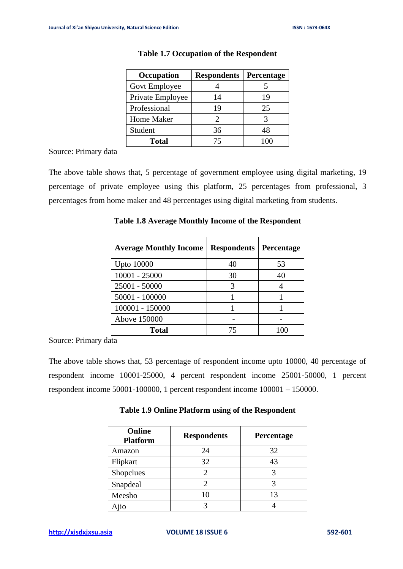| Occupation       | <b>Respondents</b>          | Percentage |
|------------------|-----------------------------|------------|
| Govt Employee    |                             |            |
| Private Employee | 14                          | 19         |
| Professional     | 19                          | 25         |
| Home Maker       | $\mathcal{D}_{\mathcal{L}}$ |            |
| Student          | 36                          | 48         |
| <b>Total</b>     | 75                          |            |

#### **Table 1.7 Occupation of the Respondent**

Source: Primary data

The above table shows that, 5 percentage of government employee using digital marketing, 19 percentage of private employee using this platform, 25 percentages from professional, 3 percentages from home maker and 48 percentages using digital marketing from students.

| <b>Average Monthly Income</b> | <b>Respondents</b> | Percentage |
|-------------------------------|--------------------|------------|
| <b>Upto 10000</b>             | 40                 | 53         |
| 10001 - 25000                 | 30                 | 40         |
| 25001 - 50000                 |                    |            |
| 50001 - 100000                |                    |            |
| 100001 - 150000               |                    |            |
| Above 150000                  |                    |            |
| Total                         |                    |            |

**Table 1.8 Average Monthly Income of the Respondent**

Source: Primary data

The above table shows that, 53 percentage of respondent income upto 10000, 40 percentage of respondent income 10001-25000, 4 percent respondent income 25001-50000, 1 percent respondent income 50001-100000, 1 percent respondent income 100001 – 150000.

|  | Table 1.9 Online Platform using of the Respondent |  |  |  |
|--|---------------------------------------------------|--|--|--|
|--|---------------------------------------------------|--|--|--|

| Online<br><b>Platform</b> | <b>Respondents</b> | Percentage |
|---------------------------|--------------------|------------|
| Amazon                    | 24                 | 32         |
| Flipkart                  | 32                 | 43         |
| Shopclues                 |                    |            |
| Snapdeal                  |                    |            |
| Meesho                    | 10                 | 13         |
| Ajio                      |                    |            |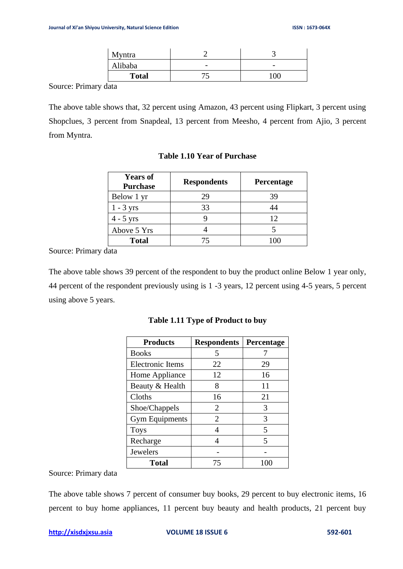| Myntra       |         |     |
|--------------|---------|-----|
| Alibaba      |         |     |
| <b>Total</b> | 74<br>ັ | 100 |

Source: Primary data

The above table shows that, 32 percent using Amazon, 43 percent using Flipkart, 3 percent using Shopclues, 3 percent from Snapdeal, 13 percent from Meesho, 4 percent from Ajio, 3 percent from Myntra.

| <b>Years of</b><br><b>Purchase</b> | <b>Respondents</b> | <b>Percentage</b> |
|------------------------------------|--------------------|-------------------|
| Below 1 yr                         | 29                 | 39                |
| $1 - 3$ yrs                        | 33                 | 44                |
| $4 - 5$ yrs                        |                    | 12                |
| Above 5 Yrs                        |                    |                   |
| <b>Total</b>                       | 75                 | 100               |

#### **Table 1.10 Year of Purchase**

Source: Primary data

The above table shows 39 percent of the respondent to buy the product online Below 1 year only, 44 percent of the respondent previously using is 1 -3 years, 12 percent using 4-5 years, 5 percent using above 5 years.

| <b>Products</b>         | <b>Respondents</b> | Percentage |
|-------------------------|--------------------|------------|
| <b>Books</b>            | 5                  |            |
| <b>Electronic Items</b> | 22                 | 29         |
| Home Appliance          | 12                 | 16         |
| Beauty & Health         | 8                  | 11         |
| Cloths                  | 16                 | 21         |
| Shoe/Chappels           | 2                  | 3          |
| <b>Gym Equipments</b>   | 2                  | 3          |
| <b>Toys</b>             |                    | 5          |
| Recharge                |                    | 5          |
| Jewelers                |                    |            |
| <b>Total</b>            | 75                 |            |

**Table 1.11 Type of Product to buy** 

Source: Primary data

The above table shows 7 percent of consumer buy books, 29 percent to buy electronic items, 16 percent to buy home appliances, 11 percent buy beauty and health products, 21 percent buy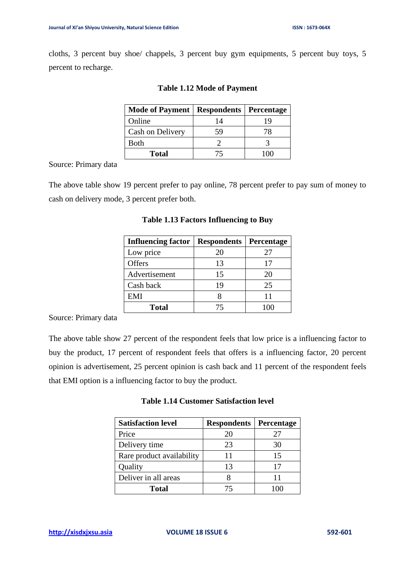cloths, 3 percent buy shoe/ chappels, 3 percent buy gym equipments, 5 percent buy toys, 5 percent to recharge.

| <b>Mode of Payment</b> | <b>Respondents   Percentage</b> |    |
|------------------------|---------------------------------|----|
| Online                 | 14                              | 19 |
| Cash on Delivery       | 59                              | 78 |
| <b>Both</b>            |                                 |    |
| <b>Total</b>           |                                 |    |

#### **Table 1.12 Mode of Payment**

Source: Primary data

The above table show 19 percent prefer to pay online, 78 percent prefer to pay sum of money to cash on delivery mode, 3 percent prefer both.

| <b>Influencing factor</b> | <b>Respondents   Percentage</b> |    |
|---------------------------|---------------------------------|----|
| Low price                 | 20                              | 27 |
| Offers                    | 13                              | 17 |
| Advertisement             | 15                              | 20 |
| Cash back                 | 19                              | 25 |
| EMI                       |                                 | 11 |
| <b>Total</b>              |                                 |    |

#### **Table 1.13 Factors Influencing to Buy**

Source: Primary data

The above table show 27 percent of the respondent feels that low price is a influencing factor to buy the product, 17 percent of respondent feels that offers is a influencing factor, 20 percent opinion is advertisement, 25 percent opinion is cash back and 11 percent of the respondent feels that EMI option is a influencing factor to buy the product.

| <b>Table 1.14 Customer Satisfaction level</b> |  |
|-----------------------------------------------|--|
|-----------------------------------------------|--|

| <b>Satisfaction level</b> | <b>Respondents   Percentage</b> |    |
|---------------------------|---------------------------------|----|
| Price                     | 20                              | 27 |
| Delivery time             | 23                              | 30 |
| Rare product availability | 11                              | 15 |
| Quality                   | 13                              | 17 |
| Deliver in all areas      |                                 |    |
| <b>Total</b>              | 75                              |    |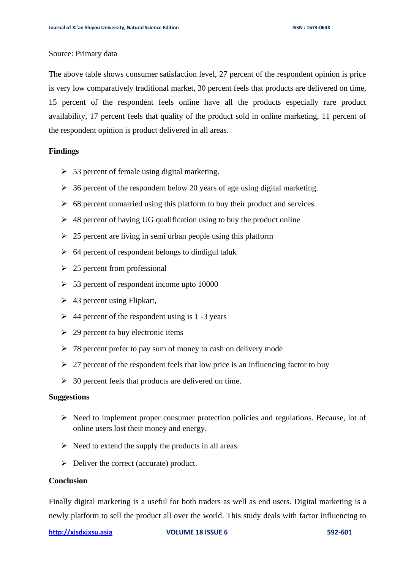#### Source: Primary data

The above table shows consumer satisfaction level, 27 percent of the respondent opinion is price is very low comparatively traditional market, 30 percent feels that products are delivered on time, 15 percent of the respondent feels online have all the products especially rare product availability, 17 percent feels that quality of the product sold in online marketing, 11 percent of the respondent opinion is product delivered in all areas.

#### **Findings**

- $\geq$  53 percent of female using digital marketing.
- $\geq$  36 percent of the respondent below 20 years of age using digital marketing.
- $\geq 68$  percent unmarried using this platform to buy their product and services.
- $\geq 48$  percent of having UG qualification using to buy the product online
- $\geq$  25 percent are living in semi urban people using this platform
- $\geq 64$  percent of respondent belongs to dindigul taluk
- $\geq$  25 percent from professional
- $\geq$  53 percent of respondent income upto 10000
- $\geq 43$  percent using Flipkart,
- $\geq 44$  percent of the respondent using is 1 -3 years
- $\geq 29$  percent to buy electronic items
- $\geq 78$  percent prefer to pay sum of money to cash on delivery mode
- $\geq 27$  percent of the respondent feels that low price is an influencing factor to buy
- $\geq 30$  percent feels that products are delivered on time.

## **Suggestions**

- ➢ Need to implement proper consumer protection policies and regulations. Because, lot of online users lost their money and energy.
- $\triangleright$  Need to extend the supply the products in all areas.
- ➢ Deliver the correct (accurate) product.

#### **Conclusion**

Finally digital marketing is a useful for both traders as well as end users. Digital marketing is a newly platform to sell the product all over the world. This study deals with factor influencing to